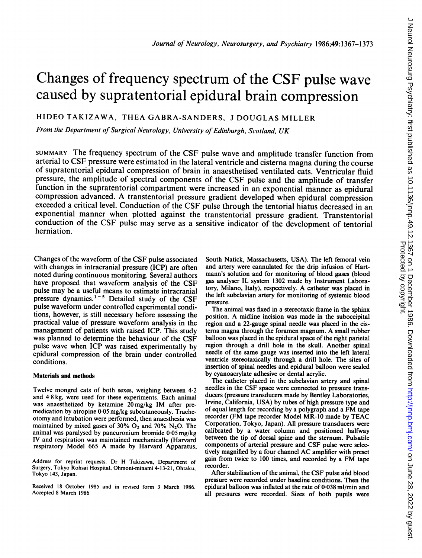# Changes of frequency spectrum of the CSF pulse wave caused by supratentorial epidural brain compression

HIDEO TAKIZAWA, THEA GABRA-SANDERS, <sup>J</sup> DOUGLAS MILLER

From the Department of Surgical Neurology, University of Edinburgh, Scotland, UK

SUMMARY The frequency spectrum of the CSF pulse wave and amplitude transfer function from arterial to CSF pressure were estimated in the lateral ventricle and cisterna magna during the course of supratentorial epidural compression of brain in anaesthetised ventilated cats. Ventricular fluid pressure, the amplitude of spectral components of the CSF pulse and the amplitude of transfer function in the supratentorial compartment were increased in an exponential manner as epidural compression advanced. A transtentorial pressure gradient developed when epidural compression exceeded <sup>a</sup> critical level. Conduction of the CSF pulse through the tentorial hiatus decreased in an exponential manner when plotted against the transtentorial pressure gradient. Transtentorial conduction of the CSF pulse may serve as <sup>a</sup> sensitive indicator of the development of tentorial herniation.

Changes of the waveform of the CSF pulse associated with changes in intracranial pressure (ICP) are often noted during continuous monitoring. Several authors have proposed that waveform analysis of the CSF pulse may be a useful means to estimate intracranial pressure dynamics.<sup>1-5</sup> Detailed study of the CSF pulse waveform under controlled experimental conditions, however, is still necessary before assessing the practical value of pressure waveform analysis in the management of patients with raised ICP. This study was planned to determine the behaviour of the CSF pulse wave when ICP was raised experimentally by epidural compression of the brain under controlled conditions.

#### Materials and methods

Twelve mongrel cats of both sexes, weighing between 4-2 and 4 8 kg, were used for these experiments. Each animal was anaesthetized by ketamine 20 mg/kg IM after premedication by atropine 0-05 mg/kg subcutaneously. Tracheotomy and intubation were performed, then anaesthesia was maintained by mixed gases of  $30\%$  O<sub>2</sub> and  $70\%$  N<sub>2</sub>O. The animal was paralysed by pancuronium bromide 0-05 mg/kg IV and respiration was maintained mechanically (Harvard respiratory Model <sup>665</sup> A made by Harvard Apparatus,

Address for reprint requests: Dr H Takizawa, Department of Surgery, Tokyo Rohsai Hospital, Ohmoni-minami 4-13-21, Ohtaku, Tokyo 143, Japan.

Received 18 October 1985 and in revised form <sup>3</sup> March 1986. Accepted 8 March 1986

South Natick, Massachusetts, USA). The left femoral vein and artery were cannulated for the drip infusion of Hartmann's solution and for monitoring of blood gases (blood gas analyser IL system 1302 made by Instrument Laboratory, Milano, Italy), respectively. A catheter was placed in the left subclavian artery for monitoring of systemic blood pressure.

The animal was fixed in a stereotaxic frame in the sphinx position. A midline incision was made in the suboccipital region and a 22-gauge spinal needle was placed in the cisterna magna through the foramen magnum. A small rubber balloon was placed in the epidural space of the right parietal region through a drill hole in the skull. Another spinal needle of the same gauge was inserted into the left lateral ventricle stereotaxically through a drill hole. The sites of insertion of spinal needles and epidural balloon were sealed by cyanoacrylate adhesive or dental acrylic.

The catheter placed in the subclavian artery and spinal needles in the CSF space were connected to pressure transducers (pressure transducers made by Bentley Laboratories, Irvine, California, USA) by tubes of high pressure type and of equal length for recording by <sup>a</sup> polygraph and <sup>a</sup> FM tape recorder (FM tape recorder Model MR-10 made by TEAC Corporation, Tokyo, Japan). All pressure transducers were calibrated by a water column and positioned halfway between the tip of dorsal spine and the sternum. Pulsatile components of arterial pressure and CSF pulse were selectively magnified by <sup>a</sup> four channel AC amplifier with preset gain from twice to <sup>100</sup> times, and recorded by <sup>a</sup> FM tape recorder.

After stabilisation of the animal, the CSF pulse and blood pressure were recorded under baseline conditions. Then the epidural balloon was inflated at the rate of 0-038 ml/min and all pressures were recorded. Sizes of both pupils were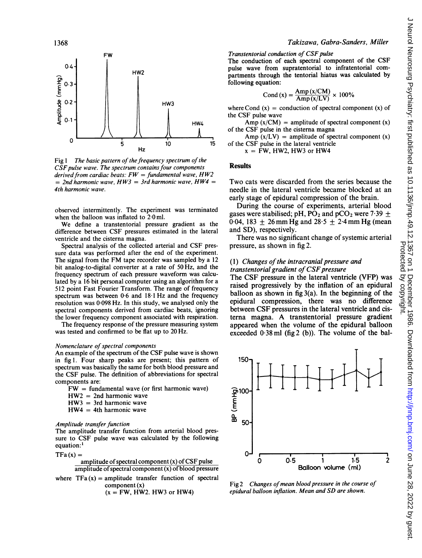

5

Fig  $1$  The basic pattern of the frequency spectrum of the  $C\tilde{S}F$  pulse wave. The spectrum contains four components derived from cardiac beats:  $FW = fundamental$  wave,  $HW2$  $=$  2nd harmonic wave, HW3  $=$  3rd harmonic wave, HW4  $=$ 4th harmonic wave.

Hz

10

observed intermittently. The experiment was terminated when the balloon was inflated to  $2.0$  ml.

We define <sup>a</sup> transtentorial pressure gradient as the difference between CSF pressures estimated in the lateral ventricle and the cisterna magna.

Spectral analysis of the collected arterial and CSF pressure data was performed after the end of the experiment. The signal from the FM tape recorder was sampled by <sup>a</sup> <sup>12</sup> bit analog-to-digital converter at a rate of 50 Hz, and the frequency spectrum of each pressure waveform was calculated by a 16 bit personal computer using an algorithm for a 512 point Fast Fourier Transform. The range of frequency spectrum was between 0-6 and <sup>18</sup> <sup>1</sup> Hz and the frequency resolution was 0 098 Hz. In this study, we analysed only the spectral components derived from cardiac beats, ignoring the lower frequency component associated with respiration.

The frequency response of the pressure measuring system was tested and confirmed to be flat up to 20 Hz.

#### Nomenclature of spectral components

An example of the spectrum of the CSF pulse wave is shown in fig 1. Four sharp peaks are present; this pattern of spectrum was basically the same for both blood pressure and the CSF pulse. The definition of abbreviations for spectral components are:

- $FW = fundamental wave (or first harmonic wave)$
- $HW2 = 2nd$  harmonic wave
- $HW3 = 3rd$  harmonic wave
- $HW4 = 4th$  harmonic wave

#### Amplitude transfer function

The amplitude transfer function from arterial blood pressure to CSF pulse wave was calculated by the following equation:<sup>1</sup>

$$
TFa\left( x\right) =
$$

amplitude of spectral component 
$$
(x)
$$
 of CSF pulse amplitude of spectral component  $(x)$  of blood pressure

where  $TFa(x) =$  amplitude transfer function of spectral component (x)

 $(x = FW$ , HW2. HW3 or HW4)

# Takizawa, Gabra-Sanders, Miller

#### Transtentorial conduction of CSF pulse

The conduction of each spectral component of the CSF pulse wave from supratentorial to infratentorial compartments through the tentorial hiatus was calculated by following equation:

$$
Cond(x) = \frac{Amp(x/CM)}{Amp(x/LV)} \times 100\%
$$

where Cond  $(x)$  = conduction of spectral component  $(x)$  of the CSF pulse wave

Amp  $(x/CM)$  = amplitude of spectral component  $(x)$ of the CSF pulse in the cisterna magna

Amp  $(x/LV)$  = amplitude of spectral component  $(x)$ of the CSF pulse in the lateral ventricle

 $x = FW$ , HW2, HW3 or HW4

### **Results**

 $15$ 

Two cats were discarded from the series because the needle in the lateral ventricle became blocked at an early stage of epidural compression of the brain.

During the course of experiments, arterial blood gases were stabilised; pH, PO<sub>2</sub> and pCO<sub>2</sub> were  $7.39 +$ 0.04, 183  $\pm$  26 mm Hg and 28.5  $\pm$  2.4 mm Hg (mean and SD), respectively.

There was no significant change of systemic arterial pressure, as shown in fig 2.

## (1) Changes of the intracranial pressure and transtentorial gradient of CSF pressure

The CSF pressure in the lateral ventricle (VFP) was raised progressively by the inflation of an epidural balloon as shown in fig  $3(a)$ . In the beginning of the epidural compression, there was no difference between CSF pressures in the lateral ventricle and cisterna magna. A transtentorial pressure gradient appeared when the volume of the epidural balloon exceeded  $0.38$  ml (fig 2 (b)). The volume of the bal-



Fig 2 Changes of mean blood pressure in the course of epidural balloon inflation. Mean and SD are shown.

0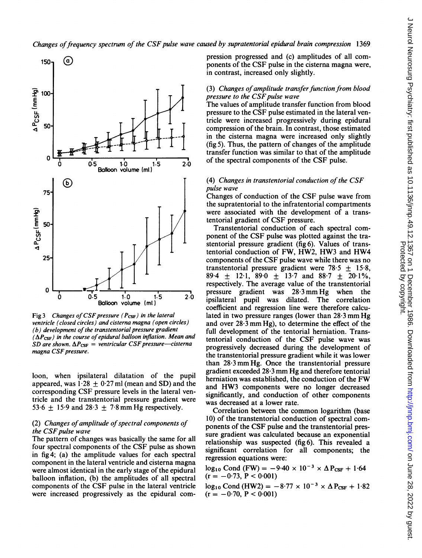

Fig 3 Changes of CSF pressure ( $P_{\text{CSF}}$ ) in the lateral ventricle (closed circles) and cisterna magna (open circles)  $(b)$  development of the transtentorial pressure gradient  $(\Delta P_{\rm CSF})$  in the course of epidural balloon inflation. Mean and SD are shown.  $\Delta P_{\text{CSF}}$  = ventricular CSF pressure-cisterna magna CSF pressure.

loon, when ipsilateral dilatation of the pupil appeared, was  $1.28 \pm 0.27$  ml (mean and SD) and the corresponding CSF pressure levels in the lateral ventricle and the transtentorial pressure gradient were 53.6  $\pm$  15.9 and 28.3  $\pm$  7.8 mm Hg respectively.

# (2) Changes of amplitude of spectral components of the CSF pulse wave

The pattern of changes was basically the same for all four spectral components of the CSF pulse as shown in fig4; (a) the amplitude values for each spectral component in the lateral ventricle and cisterna magna were almost identical in the early stage of the epidural balloon inflation, (b) the amplitudes of all spectral components of the CSF pulse in the lateral ventricle were increased progressively as the epidural compression progressed and (c) amplitudes of all components of the CSF pulse in the cisterna magna were, in contrast, increased only slightly.

#### (3) Changes of amplitude transfer function from blood pressure to the CSF pulse wave

The values of amplitude transfer function from blood pressure to the CSF pulse estimated in the lateral ventricle were increased progressively during epidural compression of the brain. In contrast, those estimated in the cisterna magna were increased only slightly (fig 5). Thus, the pattern of changes of the amplitude transfer function was similar to that of the amplitude of the spectral components of the CSF pulse.

## (4) Changes in transtentorial conduction of the  $CSF$ pulse wave

Changes of conduction of the CSF pulse wave from the supratentorial to the infratentorial compartments were associated with the development of a transtentorial gradient of CSF pressure.

Transtentorial conduction of each spectral component of the CSF pulse was plotted against the trastentorial pressure gradient (fig 6). Values of transtentorial conduction of FW, HW2, HW3 and HW4 components of the CSF pulse wave while there was no transtentorial pressure gradient were 78.5  $\pm$  15.8, 89.4  $\pm$  12.1, 89.0  $\pm$  13.7 and 88.7  $\pm$  20.1%, respectively. The average value of the transtentorial pressure gradient was 28-3mmHg when the ipsilateral pupil was dilated. The correlation coefficient and regression line were therefore calculated in two pressure ranges (lower than  $28.3$  mm Hg and over  $28.3$  mm Hg), to determine the effect of the full development of the tentorial herniation. Transtentorial conduction of the CSF pulse wave was progressively decreased during the development of the transtentorial pressure gradient while it was lower than  $28.3$  mm Hg. Once the transtentorial pressure gradient exceeded 28-3 mm Hg and therefore tentorial herniation was established, the conduction of the FW and HW3 components were no longer decreased significantly, and conduction of other components was decreased at a lower rate.

Correlation between the common logarithm (base 10) of the transtentorial conduction of spectral components of the CSF pulse and the transtentorial pressure gradient was calculated because an exponential relationship was suspected (fig 6). This revealed a significant correlation for all components; the regression equations were:

 $log_{10}$  Cond (FW) = -9.40  $\times$  10<sup>-3</sup>  $\times$   $\Delta$  P<sub>CSF</sub> + 1.64  $(r = -0.73, P < 0.001)$ 

 $log_{10}$  Cond (HW2) = -8.77 × 10<sup>-3</sup> ×  $\Delta$  P<sub>CSF</sub> + 1.82  $(r = -0.70, P < 0.001)$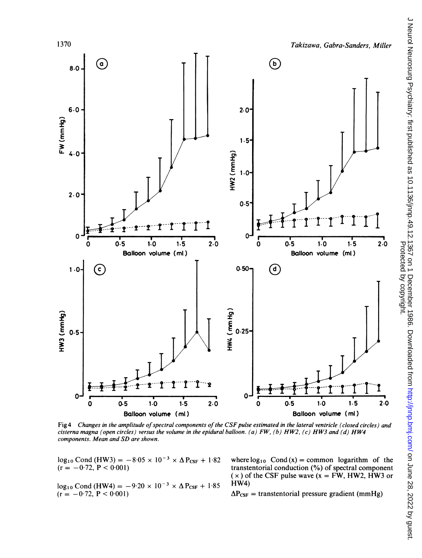

Fig 4 Changes in the amplitude of spectral components of the CSF pulse estimated in the lateral ventricle (closed circles) and cisterna magna (open circles) versus the volume in the epidural balloon. (a) FW, (b) HW2, (c) HW3 and (d) HW4 components. Mean and SD are shown.

 $log_{10}$  Cond (HW3) = -8.05 x 10<sup>-3</sup> x  $\Delta P_{CSF}$  + 1.82 where  $log_{10}$  Cond (x) = common logarithm of the transtentorial conduction (%) of spectral component

 $log_{10}$  Cond (HW4) = -9.20 × 10<sup>-3</sup> ×  $\Delta$  P<sub>CSF</sub> + 1.85<br>(r = -0.72, P < 0.001)

transtentorial conduction  $(\%)$  of spectral component  $(x)$  of the CSF pulse wave  $(x = FW$ , HW2, HW3 or HW4)

 $\Delta P_{CSF}$  = transtentorial pressure gradient (mmHg)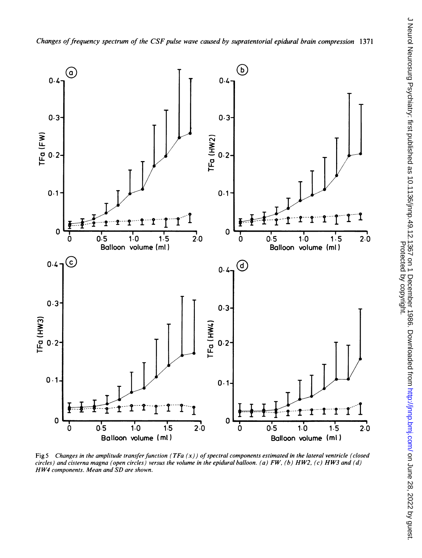

Fig 5 Changes in the amplitude transfer function (TFa  $(x)$ ) of spectral components estimated in the lateral ventricle (closed circles) and cisterna magna (open circles) versus the volume in the epidural balloon. (a) FW, (b) HW2, (c) HW3 and (d) HW4 components. Mean and SD are shown.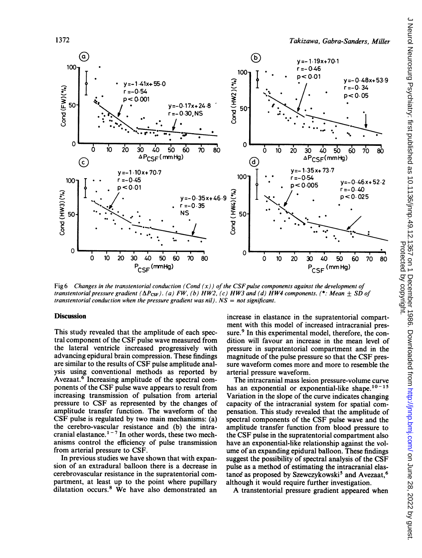

Fig 6 Changes in the transtentorial conduction (Cond  $(x)$ ) of the CSF pulse components against the development of transtentorial pressure gradient ( $\Delta P_{\text{CSF}}$ ). (a) FW, (b) HW2, (c) HW3 and (d) HW4 components. (\*: Mean  $\pm$  SD of transtentorial conduction when the pressure gradient was nil).  $NS = not$  significant.

# **Discussion**

This study revealed that the amplitude of each spectral component of the CSF pulse wave measured from the lateral ventricle increased progressively with advancing epidural brain compression. These findings are similar to the results of CSF pulse amplitude analysis using conventional methods as reported by Avezaat.6 Increasing amplitude of the spectral components of the CSF pulse wave appears to result from increasing transmission of pulsation from arterial pressure to CSF as represented by the changes of amplitude transfer function. The waveform of the CSF pulse is regulated by two main mechanisms: (a) the cerebro-vascular resistance and (b) the intracranial elastance.<sup>1-7</sup> In other words, these two mechanisms control the efficiency of pulse transmission from arterial pressure to CSF.

In previous studies we have shown that with expansion of an extradural balloon there is a decrease in cerebrovascular resistance in the supratentorial compartment, at least up to the point where pupillary dilatation occurs.8 We have also demonstrated an increase in elastance in the supratentorial compartment with this model of increased intracranial pressure.<sup>9</sup> In this experimental model, therefore, the condition will favour an increase in the mean level of pressure in supratentorial compartment and in the magnitude of the pulse pressure so that the CSF pressure waveform comes more and more to resemble the arterial pressure waveform.

The intracranial mass lesion pressure-volume curve has an exponential or exponential-like shape. $10-15$ Variation in the slope of the curve indicates changing capacity of the intracranial system for spatial compensation. This study revealed that the amplitude of spectral components of the CSF pulse wave and the amplitude transfer function from blood pressure to the CSF pulse in the supratentorial compartment also have an exponential-like relationship against the volume of an expanding epidural balloon. These findings suggest the possibility of spectral analysis of the CSF pulse as a method of estimating the intracranial elastance as proposed by Szewczykowski<sup>5</sup> and Avezaat,<sup>6</sup> although it would require further investigation.

A transtentorial pressure gradient appeared when